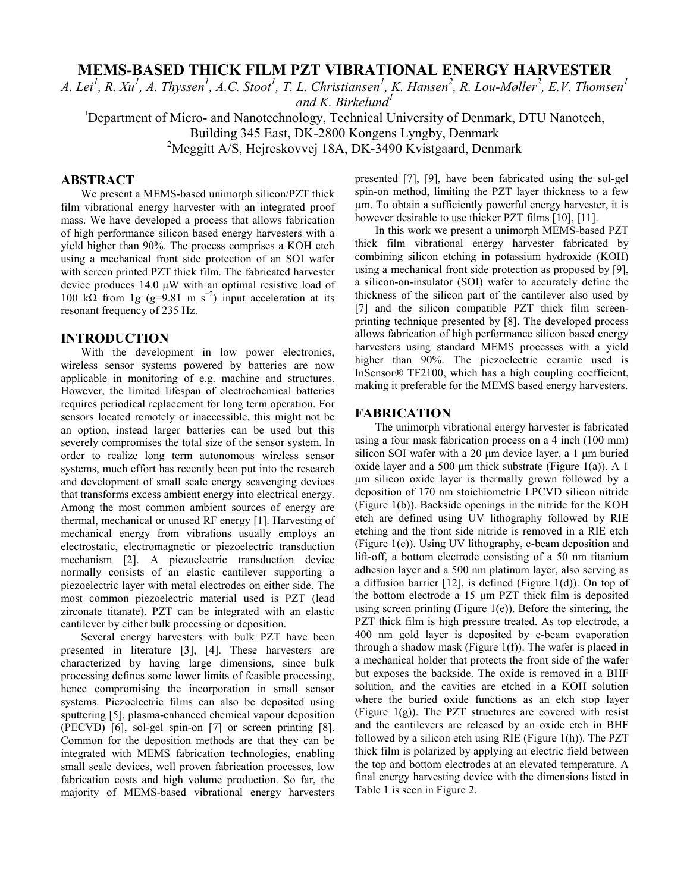# **MEMS-BASED THICK FILM PZT VIBRATIONAL ENERGY HARVESTER**

*A. Lei<sup>1</sup>, R. Xu<sup>1</sup>, A. Thyssen<sup>1</sup>, A.C. Stoot<sup>1</sup>, T. L. Christiansen<sup>1</sup>, K. Hansen<sup>2</sup>, R. Lou-Møller<sup>2</sup>, E.V. Thomsen<sup>1</sup>* and K. Birkelund<sup>1</sup>

<sup>1</sup>Department of Micro- and Nanotechnology, Technical University of Denmark, DTU Nanotech, Building 345 East, DK-2800 Kongens Lyngby, Denmark

<sup>2</sup>Meggitt A/S, Hejreskovvej 18A, DK-3490 Kvistgaard, Denmark

# **ABSTRACT**

We present a MEMS-based unimorph silicon/PZT thick film vibrational energy harvester with an integrated proof mass. We have developed a process that allows fabrication of high performance silicon based energy harvesters with a yield higher than 90%. The process comprises a KOH etch using a mechanical front side protection of an SOI wafer with screen printed PZT thick film. The fabricated harvester device produces 14.0 μW with an optimal resistive load of 100 k $\Omega$  from 1*g* ( $g=9.81$  m s<sup>-2</sup>) input acceleration at its resonant frequency of 235 Hz.

### **INTRODUCTION**

With the development in low power electronics, wireless sensor systems powered by batteries are now applicable in monitoring of e.g. machine and structures. However, the limited lifespan of electrochemical batteries requires periodical replacement for long term operation. For sensors located remotely or inaccessible, this might not be an option, instead larger batteries can be used but this severely compromises the total size of the sensor system. In order to realize long term autonomous wireless sensor systems, much effort has recently been put into the research and development of small scale energy scavenging devices that transforms excess ambient energy into electrical energy. Among the most common ambient sources of energy are thermal, mechanical or unused RF energy [1]. Harvesting of mechanical energy from vibrations usually employs an electrostatic, electromagnetic or piezoelectric transduction mechanism [2]. A piezoelectric transduction device normally consists of an elastic cantilever supporting a piezoelectric layer with metal electrodes on either side. The most common piezoelectric material used is PZT (lead zirconate titanate). PZT can be integrated with an elastic cantilever by either bulk processing or deposition.

Several energy harvesters with bulk PZT have been presented in literature [3], [4]. These harvesters are characterized by having large dimensions, since bulk processing defines some lower limits of feasible processing, hence compromising the incorporation in small sensor systems. Piezoelectric films can also be deposited using sputtering [5], plasma-enhanced chemical vapour deposition (PECVD) [6], sol-gel spin-on [7] or screen printing [8]. Common for the deposition methods are that they can be integrated with MEMS fabrication technologies, enabling small scale devices, well proven fabrication processes, low fabrication costs and high volume production. So far, the majority of MEMS-based vibrational energy harvesters

presented [7], [9], have been fabricated using the sol-gel spin-on method, limiting the PZT layer thickness to a few µm. To obtain a sufficiently powerful energy harvester, it is however desirable to use thicker PZT films [10], [11].

In this work we present a unimorph MEMS-based PZT thick film vibrational energy harvester fabricated by combining silicon etching in potassium hydroxide (KOH) using a mechanical front side protection as proposed by [9], a silicon-on-insulator (SOI) wafer to accurately define the thickness of the silicon part of the cantilever also used by [7] and the silicon compatible PZT thick film screenprinting technique presented by [8]. The developed process allows fabrication of high performance silicon based energy harvesters using standard MEMS processes with a yield higher than 90%. The piezoelectric ceramic used is InSensor® TF2100, which has a high coupling coefficient, making it preferable for the MEMS based energy harvesters.

#### **FABRICATION**

The unimorph vibrational energy harvester is fabricated using a four mask fabrication process on a 4 inch (100 mm) silicon SOI wafer with a 20 μm device layer, a 1 μm buried oxide layer and a 500 μm thick substrate (Figure 1(a)). A 1 μm silicon oxide layer is thermally grown followed by a deposition of 170 nm stoichiometric LPCVD silicon nitride (Figure 1(b)). Backside openings in the nitride for the KOH etch are defined using UV lithography followed by RIE etching and the front side nitride is removed in a RIE etch (Figure 1(c)). Using UV lithography, e-beam deposition and lift-off, a bottom electrode consisting of a 50 nm titanium adhesion layer and a 500 nm platinum layer, also serving as a diffusion barrier  $[12]$ , is defined (Figure 1(d)). On top of the bottom electrode a 15 µm PZT thick film is deposited using screen printing (Figure 1(e)). Before the sintering, the PZT thick film is high pressure treated. As top electrode, a 400 nm gold layer is deposited by e-beam evaporation through a shadow mask (Figure  $1(f)$ ). The wafer is placed in a mechanical holder that protects the front side of the wafer but exposes the backside. The oxide is removed in a BHF solution, and the cavities are etched in a KOH solution where the buried oxide functions as an etch stop layer (Figure 1(g)). The PZT structures are covered with resist and the cantilevers are released by an oxide etch in BHF followed by a silicon etch using RIE (Figure 1(h)). The PZT thick film is polarized by applying an electric field between the top and bottom electrodes at an elevated temperature. A final energy harvesting device with the dimensions listed in Table 1 is seen in Figure 2.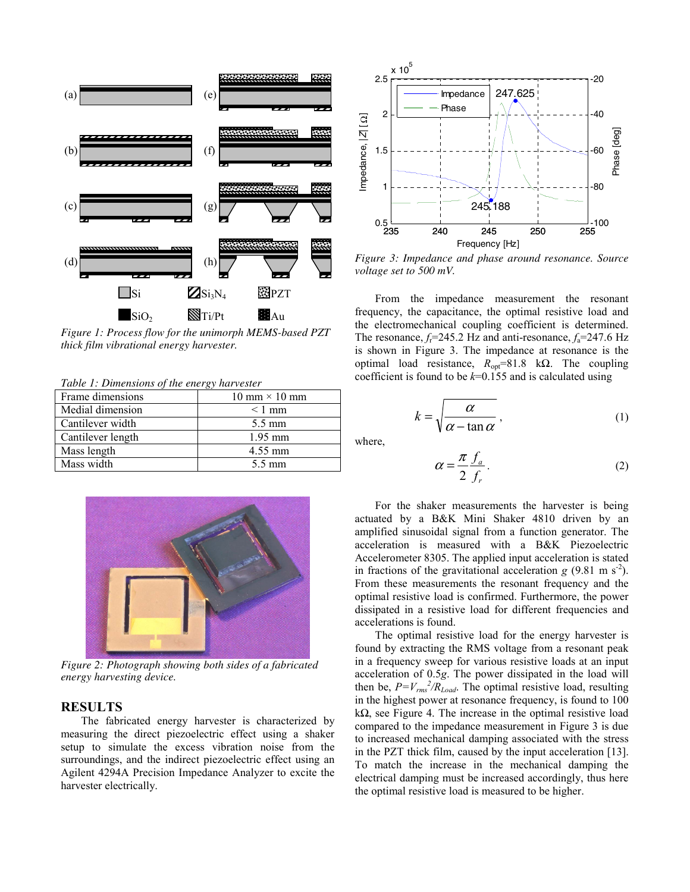

*Figure 1: Process flow for the unimorph MEMS-based PZT thick film vibrational energy harvester.* 

*Table 1: Dimensions of the energy harvester* 

| Frame dimensions  | $10 \text{ mm} \times 10 \text{ mm}$ |
|-------------------|--------------------------------------|
| Medial dimension  | $< 1$ mm                             |
| Cantilever width  | $5.5 \text{ mm}$                     |
| Cantilever length | $1.95$ mm                            |
| Mass length       | 4.55 mm                              |
| Mass width        | 5.5 mm                               |



*Figure 2: Photograph showing both sides of a fabricated energy harvesting device.* 

### **RESULTS**

The fabricated energy harvester is characterized by measuring the direct piezoelectric effect using a shaker setup to simulate the excess vibration noise from the surroundings, and the indirect piezoelectric effect using an Agilent 4294A Precision Impedance Analyzer to excite the harvester electrically.



*Figure 3: Impedance and phase around resonance. Source voltage set to 500 mV.* 

From the impedance measurement the resonant frequency, the capacitance, the optimal resistive load and the electromechanical coupling coefficient is determined. The resonance,  $f_f$ =245.2 Hz and anti-resonance,  $f_a$ =247.6 Hz is shown in Figure 3. The impedance at resonance is the optimal load resistance, *R*opt=81.8 kΩ. The coupling coefficient is found to be *k*=0.155 and is calculated using

$$
k = \sqrt{\frac{\alpha}{\alpha - \tan \alpha}},
$$
 (1)

where,

$$
\alpha = \frac{\pi}{2} \frac{f_a}{f_r} \,. \tag{2}
$$

For the shaker measurements the harvester is being actuated by a B&K Mini Shaker 4810 driven by an amplified sinusoidal signal from a function generator. The acceleration is measured with a B&K Piezoelectric Accelerometer 8305. The applied input acceleration is stated in fractions of the gravitational acceleration  $g(9.81 \text{ m s}^2)$ . From these measurements the resonant frequency and the optimal resistive load is confirmed. Furthermore, the power dissipated in a resistive load for different frequencies and accelerations is found.

The optimal resistive load for the energy harvester is found by extracting the RMS voltage from a resonant peak in a frequency sweep for various resistive loads at an input acceleration of 0.5*g*. The power dissipated in the load will then be,  $P = V_{rms}^2 / R_{Load}$ . The optimal resistive load, resulting in the highest power at resonance frequency, is found to 100 kΩ, see Figure 4. The increase in the optimal resistive load compared to the impedance measurement in Figure 3 is due to increased mechanical damping associated with the stress in the PZT thick film, caused by the input acceleration [13]. To match the increase in the mechanical damping the electrical damping must be increased accordingly, thus here the optimal resistive load is measured to be higher.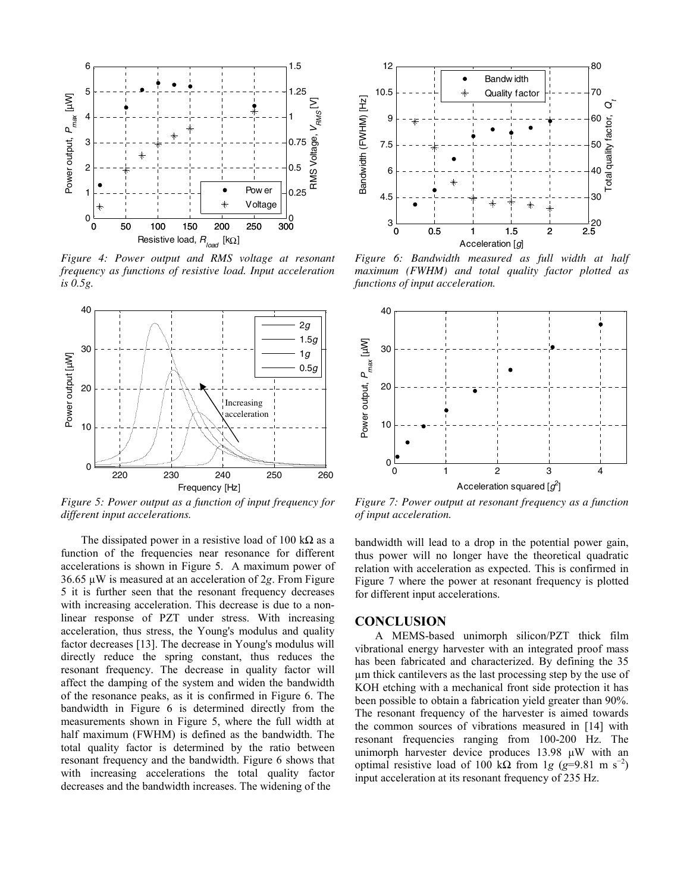

*Figure 4: Power output and RMS voltage at resonant frequency as functions of resistive load. Input acceleration is 0.5g.* 



*Figure 5: Power output as a function of input frequency for different input accelerations.*

The dissipated power in a resistive load of 100 k $\Omega$  as a function of the frequencies near resonance for different accelerations is shown in Figure 5. A maximum power of 36.65 µW is measured at an acceleration of 2*g*. From Figure 5 it is further seen that the resonant frequency decreases with increasing acceleration. This decrease is due to a nonlinear response of PZT under stress. With increasing acceleration, thus stress, the Young's modulus and quality factor decreases [13]. The decrease in Young's modulus will directly reduce the spring constant, thus reduces the resonant frequency. The decrease in quality factor will affect the damping of the system and widen the bandwidth of the resonance peaks, as it is confirmed in Figure 6. The bandwidth in Figure 6 is determined directly from the measurements shown in Figure 5, where the full width at half maximum (FWHM) is defined as the bandwidth. The total quality factor is determined by the ratio between resonant frequency and the bandwidth. Figure 6 shows that with increasing accelerations the total quality factor decreases and the bandwidth increases. The widening of the



*Figure 6: Bandwidth measured as full width at half maximum (FWHM) and total quality factor plotted as functions of input acceleration.* 



*Figure 7: Power output at resonant frequency as a function of input acceleration.* 

bandwidth will lead to a drop in the potential power gain, thus power will no longer have the theoretical quadratic relation with acceleration as expected. This is confirmed in Figure 7 where the power at resonant frequency is plotted for different input accelerations.

#### **CONCLUSION**

A MEMS-based unimorph silicon/PZT thick film vibrational energy harvester with an integrated proof mass has been fabricated and characterized. By defining the 35 µm thick cantilevers as the last processing step by the use of KOH etching with a mechanical front side protection it has been possible to obtain a fabrication yield greater than 90%. The resonant frequency of the harvester is aimed towards the common sources of vibrations measured in [14] with resonant frequencies ranging from 100-200 Hz. The unimorph harvester device produces 13.98 μW with an optimal resistive load of 100 kΩ from 1*g* ( $g=9.81$  m s<sup>-2</sup>) input acceleration at its resonant frequency of 235 Hz.